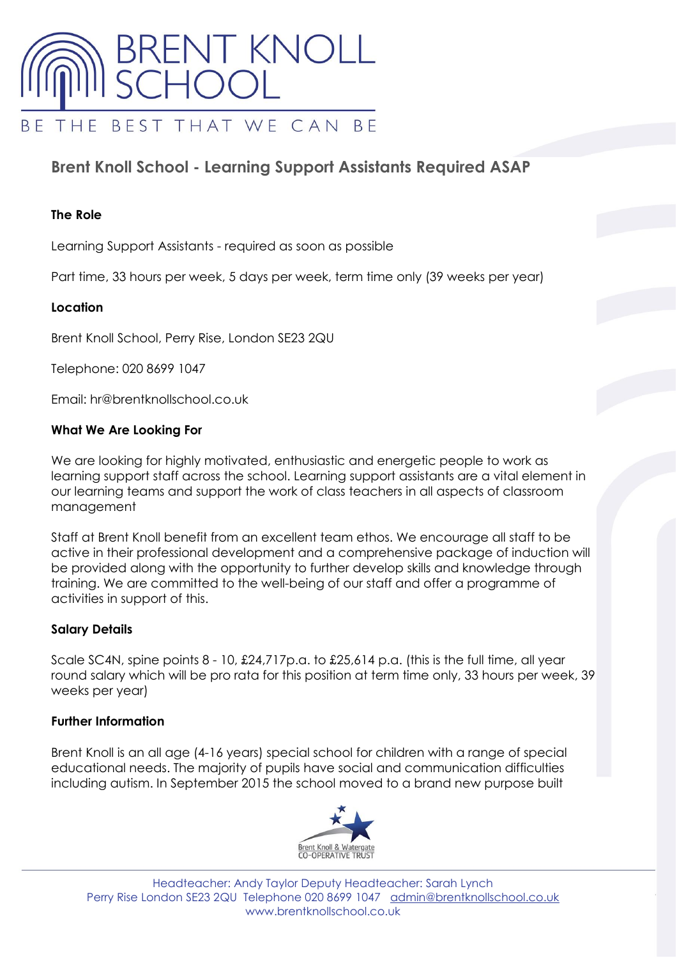

# **Brent Knoll School - Learning Support Assistants Required ASAP**

### **The Role**

Learning Support Assistants - required as soon as possible

Part time, 33 hours per week, 5 days per week, term time only (39 weeks per year)

#### **Location**

Brent Knoll School, Perry Rise, London SE23 2QU

Telephone: 020 8699 1047

Email: hr@brentknollschool.co.uk

#### **What We Are Looking For**

We are looking for highly motivated, enthusiastic and energetic people to work as learning support staff across the school. Learning support assistants are a vital element in our learning teams and support the work of class teachers in all aspects of classroom management

Staff at Brent Knoll benefit from an excellent team ethos. We encourage all staff to be active in their professional development and a comprehensive package of induction will be provided along with the opportunity to further develop skills and knowledge through training. We are committed to the well-being of our staff and offer a programme of activities in support of this.

#### **Salary Details**

Scale SC4N, spine points  $8 - 10$ , £24,717p.a. to £25,614 p.a. (this is the full time, all year round salary which will be pro rata for this position at term time only, 33 hours per week, 39 weeks per year)

# **Further Information**

Brent Knoll is an all age (4-16 years) special school for children with a range of special educational needs. The majority of pupils have social and communication difficulties including autism. In September 2015 the school moved to a brand new purpose built